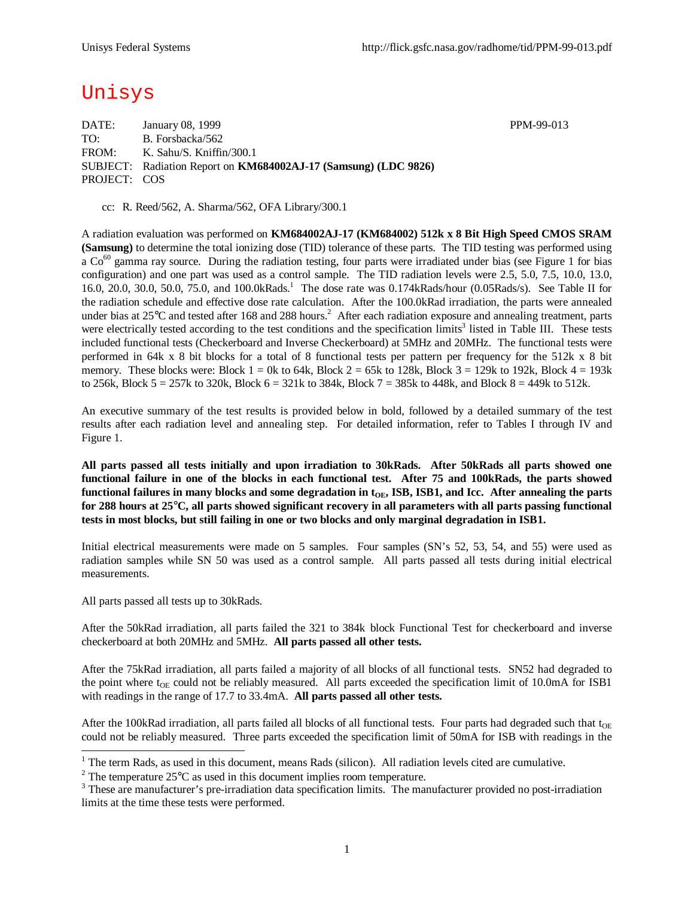# Unisys

DATE: January 08, 1999 PPM-99-013 TO: B. Forsbacka/562 FROM: K. Sahu/S. Kniffin/300.1 SUBJECT: Radiation Report on **KM684002AJ-17 (Samsung) (LDC 9826)** PROJECT: COS

cc: R. Reed/562, A. Sharma/562, OFA Library/300.1

A radiation evaluation was performed on **KM684002AJ-17 (KM684002) 512k x 8 Bit High Speed CMOS SRAM (Samsung)** to determine the total ionizing dose (TID) tolerance of these parts. The TID testing was performed using a Co<sup>60</sup> gamma ray source. During the radiation testing, four parts were irradiated under bias (see Figure 1 for bias configuration) and one part was used as a control sample. The TID radiation levels were 2.5, 5.0, 7.5, 10.0, 13.0, 16.0, 20.0, 30.0, 50.0, 75.0, and 100.0kRads.<sup>1</sup> The dose rate was 0.174kRads/hour (0.05Rads/s). See Table II for the radiation schedule and effective dose rate calculation. After the 100.0kRad irradiation, the parts were annealed under bias at  $25^{\circ}$ C and tested after 168 and 288 hours.<sup>2</sup> After each radiation exposure and annealing treatment, parts were electrically tested according to the test conditions and the specification limits<sup>3</sup> listed in Table III. These tests included functional tests (Checkerboard and Inverse Checkerboard) at 5MHz and 20MHz. The functional tests were performed in 64k x 8 bit blocks for a total of 8 functional tests per pattern per frequency for the 512k x 8 bit memory. These blocks were: Block  $1 = 0k$  to 64k, Block  $2 = 65k$  to 128k, Block  $3 = 129k$  to 192k, Block  $4 = 193k$ to 256k, Block 5 = 257k to 320k, Block 6 = 321k to 384k, Block 7 = 385k to 448k, and Block 8 = 449k to 512k.

An executive summary of the test results is provided below in bold, followed by a detailed summary of the test results after each radiation level and annealing step. For detailed information, refer to Tables I through IV and Figure 1.

**All parts passed all tests initially and upon irradiation to 30kRads. After 50kRads all parts showed one functional failure in one of the blocks in each functional test. After 75 and 100kRads, the parts showed** functional failures in many blocks and some degradation in t<sub>OE</sub>, ISB, ISB1, and Icc. After annealing the parts **for 288 hours at 25°C, all parts showed significant recovery in all parameters with all parts passing functional tests in most blocks, but still failing in one or two blocks and only marginal degradation in ISB1.**

Initial electrical measurements were made on 5 samples. Four samples (SN's 52, 53, 54, and 55) were used as radiation samples while SN 50 was used as a control sample. All parts passed all tests during initial electrical measurements.

All parts passed all tests up to 30kRads.

After the 50kRad irradiation, all parts failed the 321 to 384k block Functional Test for checkerboard and inverse checkerboard at both 20MHz and 5MHz. **All parts passed all other tests.**

After the 75kRad irradiation, all parts failed a majority of all blocks of all functional tests. SN52 had degraded to the point where  $t_{OE}$  could not be reliably measured. All parts exceeded the specification limit of 10.0mA for ISB1 with readings in the range of 17.7 to 33.4mA. **All parts passed all other tests.**

After the 100kRad irradiation, all parts failed all blocks of all functional tests. Four parts had degraded such that t<sub>OE</sub> could not be reliably measured. Three parts exceeded the specification limit of 50mA for ISB with readings in the

<sup>&</sup>lt;sup>1</sup> The term Rads, as used in this document, means Rads (silicon). All radiation levels cited are cumulative.

<sup>&</sup>lt;sup>2</sup> The temperature  $25^{\circ}$ C as used in this document implies room temperature.

 $3$  These are manufacturer's pre-irradiation data specification limits. The manufacturer provided no post-irradiation limits at the time these tests were performed.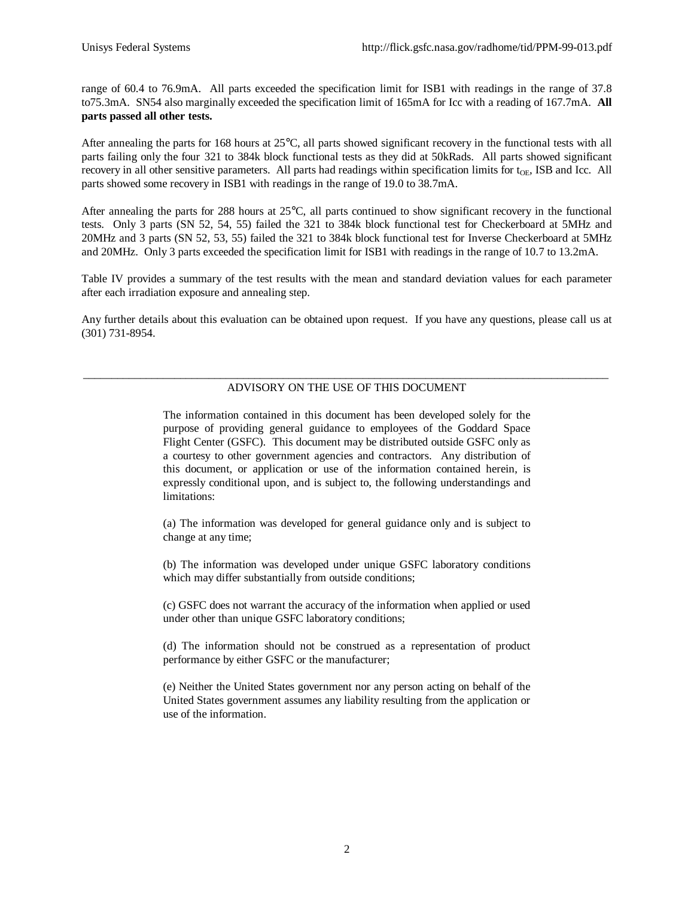range of 60.4 to 76.9mA. All parts exceeded the specification limit for ISB1 with readings in the range of 37.8 to75.3mA. SN54 also marginally exceeded the specification limit of 165mA for Icc with a reading of 167.7mA. **All parts passed all other tests.**

After annealing the parts for 168 hours at 25°C, all parts showed significant recovery in the functional tests with all parts failing only the four 321 to 384k block functional tests as they did at 50kRads. All parts showed significant recovery in all other sensitive parameters. All parts had readings within specification limits for  $t_{OF}$ , ISB and Icc. All parts showed some recovery in ISB1 with readings in the range of 19.0 to 38.7mA.

After annealing the parts for 288 hours at 25°C, all parts continued to show significant recovery in the functional tests. Only 3 parts (SN 52, 54, 55) failed the 321 to 384k block functional test for Checkerboard at 5MHz and 20MHz and 3 parts (SN 52, 53, 55) failed the 321 to 384k block functional test for Inverse Checkerboard at 5MHz and 20MHz. Only 3 parts exceeded the specification limit for ISB1 with readings in the range of 10.7 to 13.2mA.

Table IV provides a summary of the test results with the mean and standard deviation values for each parameter after each irradiation exposure and annealing step.

Any further details about this evaluation can be obtained upon request. If you have any questions, please call us at (301) 731-8954.

### \_\_\_\_\_\_\_\_\_\_\_\_\_\_\_\_\_\_\_\_\_\_\_\_\_\_\_\_\_\_\_\_\_\_\_\_\_\_\_\_\_\_\_\_\_\_\_\_\_\_\_\_\_\_\_\_\_\_\_\_\_\_\_\_\_\_\_\_\_\_\_\_\_\_\_\_\_\_\_\_\_\_\_\_\_\_\_\_\_\_\_\_ ADVISORY ON THE USE OF THIS DOCUMENT

The information contained in this document has been developed solely for the purpose of providing general guidance to employees of the Goddard Space Flight Center (GSFC). This document may be distributed outside GSFC only as a courtesy to other government agencies and contractors. Any distribution of this document, or application or use of the information contained herein, is expressly conditional upon, and is subject to, the following understandings and limitations:

(a) The information was developed for general guidance only and is subject to change at any time;

(b) The information was developed under unique GSFC laboratory conditions which may differ substantially from outside conditions;

(c) GSFC does not warrant the accuracy of the information when applied or used under other than unique GSFC laboratory conditions;

(d) The information should not be construed as a representation of product performance by either GSFC or the manufacturer;

(e) Neither the United States government nor any person acting on behalf of the United States government assumes any liability resulting from the application or use of the information.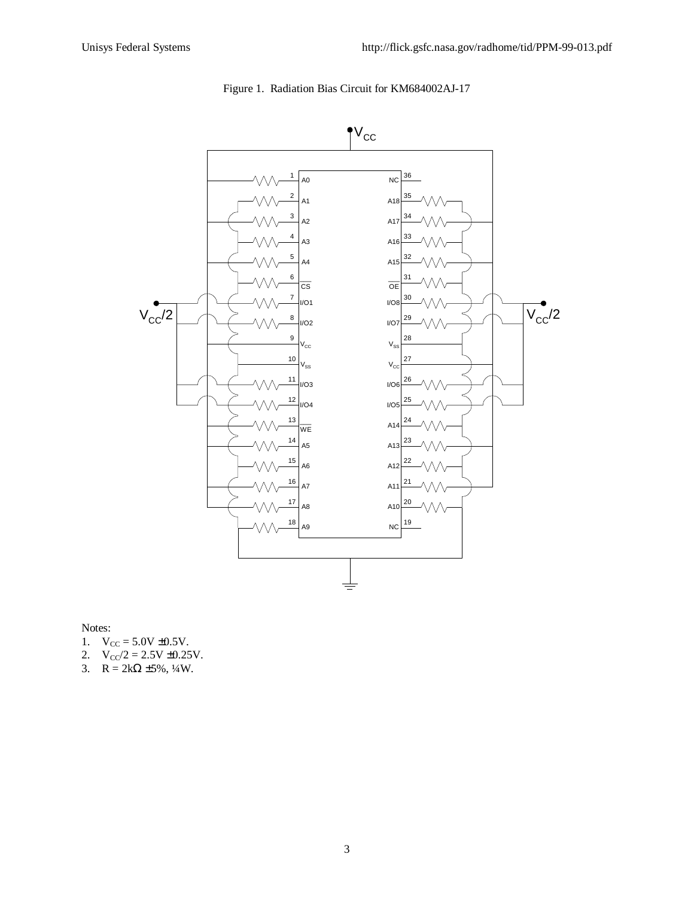



Notes:

- 1.  $V_{CC} = 5.0V \pm 0.5V$ .
- 2.  $V_{CC}/2 = 2.5V \pm 0.25V$ .
- 3.  $R = 2k\Omega \pm 5\%, \frac{1}{4}W$ .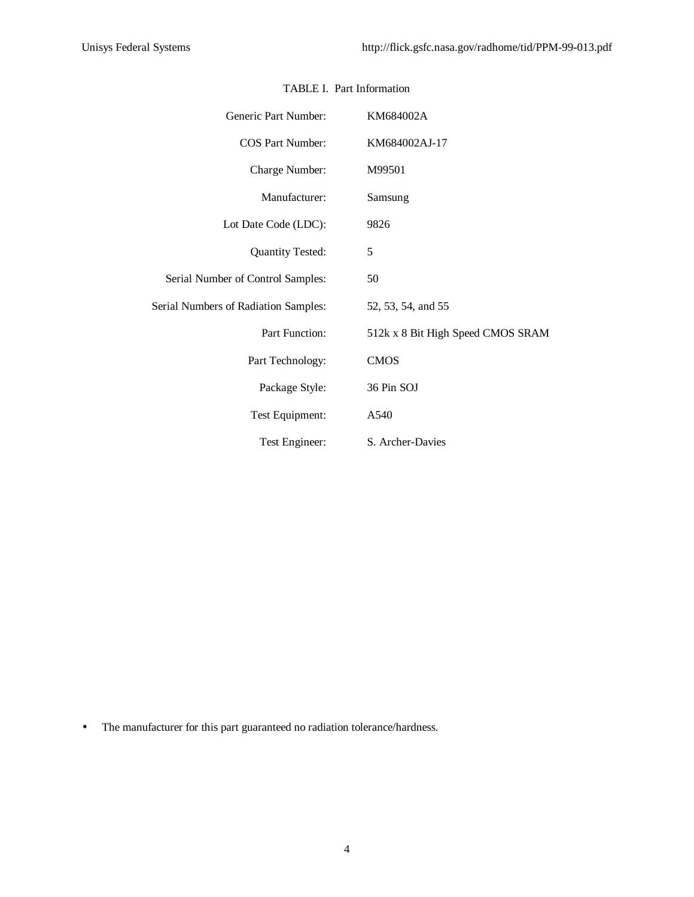| Generic Part Number:                        | KM684002A                         |
|---------------------------------------------|-----------------------------------|
| <b>COS Part Number:</b>                     | KM684002AJ-17                     |
| Charge Number:                              | M99501                            |
| Manufacturer:                               | Samsung                           |
| Lot Date Code (LDC):                        | 9826                              |
| <b>Quantity Tested:</b>                     | 5                                 |
| Serial Number of Control Samples:           | 50                                |
| <b>Serial Numbers of Radiation Samples:</b> | 52, 53, 54, and 55                |
| Part Function:                              | 512k x 8 Bit High Speed CMOS SRAM |
| Part Technology:                            | <b>CMOS</b>                       |
| Package Style:                              | 36 Pin SOJ                        |
| Test Equipment:                             | A540                              |
| Test Engineer:                              | S. Archer-Davies                  |

## TABLE I. Part Information

• The manufacturer for this part guaranteed no radiation tolerance/hardness.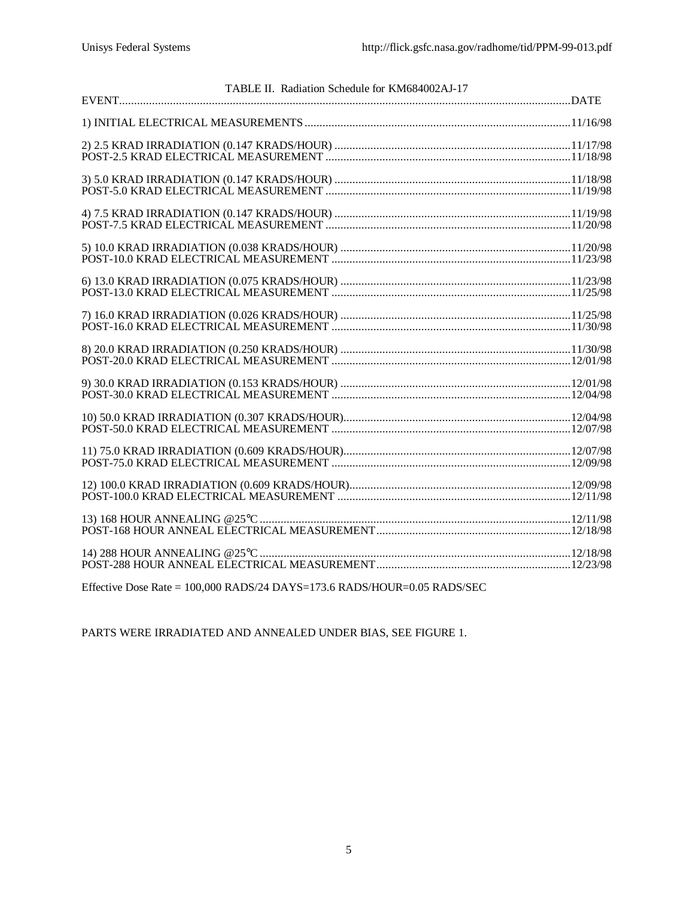| TABLE II. Radiation Schedule for KM684002AJ-17 |  |
|------------------------------------------------|--|
|                                                |  |
|                                                |  |
|                                                |  |
|                                                |  |
|                                                |  |
|                                                |  |
|                                                |  |
|                                                |  |
|                                                |  |
|                                                |  |
|                                                |  |
|                                                |  |
|                                                |  |
|                                                |  |
|                                                |  |

Effective Dose Rate = 100,000 RADS/24 DAYS=173.6 RADS/HOUR=0.05 RADS/SEC

PARTS WERE IRRADIATED AND ANNEALED UNDER BIAS, SEE FIGURE 1.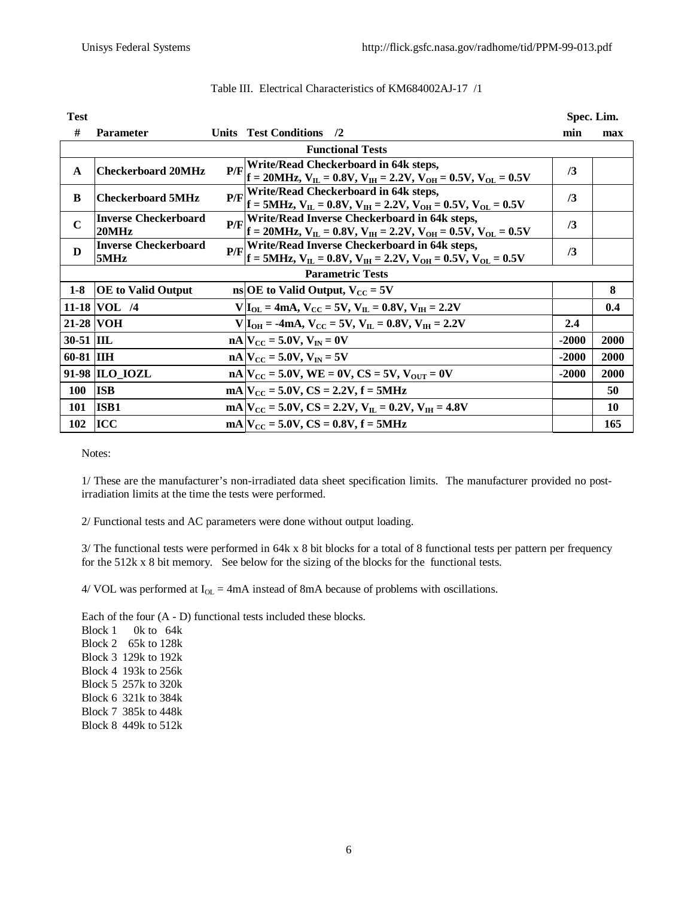| <b>Test</b>             |                                      |     |                                               |                                                                                                                                      |         | Spec. Lim. |  |  |  |  |  |
|-------------------------|--------------------------------------|-----|-----------------------------------------------|--------------------------------------------------------------------------------------------------------------------------------------|---------|------------|--|--|--|--|--|
| #                       | <b>Parameter</b>                     |     | <b>Units</b> Test Conditions                  | $\frac{12}{2}$                                                                                                                       | min     | max        |  |  |  |  |  |
| <b>Functional Tests</b> |                                      |     |                                               |                                                                                                                                      |         |            |  |  |  |  |  |
| $\mathbf A$             | <b>Checkerboard 20MHz</b>            | P/F |                                               | Write/Read Checkerboard in 64k steps,<br>$f = 20MHz$ , $V_{IL} = 0.8V$ , $V_{IH} = 2.2V$ , $V_{OH} = 0.5V$ , $V_{OL} = 0.5V$         | /3      |            |  |  |  |  |  |
| B                       | <b>Checkerboard 5MHz</b>             | P/F |                                               | Write/Read Checkerboard in 64k steps,<br>$f = 5MHz$ , $V_{H} = 0.8V$ , $V_{HH} = 2.2V$ , $V_{OH} = 0.5V$ , $V_{OL} = 0.5V$           | /3      |            |  |  |  |  |  |
| $\mathbf C$             | <b>Inverse Checkerboard</b><br>20MHz | P/F |                                               | Write/Read Inverse Checkerboard in 64k steps,<br>$f = 20MHz$ , $V_{IL} = 0.8V$ , $V_{IH} = 2.2V$ , $V_{OH} = 0.5V$ , $V_{OL} = 0.5V$ | /3      |            |  |  |  |  |  |
| D                       | <b>Inverse Checkerboard</b><br>5MHz  | P/F |                                               | Write/Read Inverse Checkerboard in 64k steps,<br>$f = 5MHz$ , $V_{IL} = 0.8V$ , $V_{IH} = 2.2V$ , $V_{OH} = 0.5V$ , $V_{OL} = 0.5V$  | /3      |            |  |  |  |  |  |
|                         | <b>Parametric Tests</b>              |     |                                               |                                                                                                                                      |         |            |  |  |  |  |  |
| $1-8$                   | <b>OE</b> to Valid Output            |     | ns OE to Valid Output, $V_{CC} = 5V$          |                                                                                                                                      |         | 8          |  |  |  |  |  |
|                         | 11-18 VOL /4                         |     |                                               | $V I_{OL} = 4mA$ , $V_{CC} = 5V$ , $V_{IL} = 0.8V$ , $V_{IH} = 2.2V$                                                                 |         | 0.4        |  |  |  |  |  |
|                         | 21-28 VOH                            |     |                                               | $V I_{OH} = -4mA$ , $V_{CC} = 5V$ , $V_{H} = 0.8V$ , $V_{IH} = 2.2V$                                                                 | 2.4     |            |  |  |  |  |  |
| $30-51$ IIL             |                                      |     | $nA$ $V_{CC}$ = 5.0V, $V_{IN}$ = 0V           |                                                                                                                                      | $-2000$ | 2000       |  |  |  |  |  |
| 60-81 IIIH              |                                      |     | $nA$ $V_{CC}$ = 5.0V, $V_{IN}$ = 5V           |                                                                                                                                      | $-2000$ | 2000       |  |  |  |  |  |
|                         | 91-98 ILO IOZL                       |     |                                               | $nA V_{CC} = 5.0V$ , WE = 0V, CS = 5V, $V_{OUT} = 0V$                                                                                | $-2000$ | 2000       |  |  |  |  |  |
| <b>100</b>              | <b>ISB</b>                           |     | $mA V_{CC} = 5.0V$ , $CS = 2.2V$ , $f = 5MHz$ |                                                                                                                                      |         | 50         |  |  |  |  |  |
| 101                     | <b>ISB1</b>                          |     |                                               | mA $V_{CC}$ = 5.0V, CS = 2.2V, $V_{H}$ = 0.2V, $V_{HH}$ = 4.8V                                                                       |         | <b>10</b>  |  |  |  |  |  |
| 102                     | <b>ICC</b>                           |     | $mA V_{CC} = 5.0V$ , $CS = 0.8V$ , $f = 5MHz$ |                                                                                                                                      |         | 165        |  |  |  |  |  |

|  | Table III. Electrical Characteristics of KM684002AJ-17 /1 |  |
|--|-----------------------------------------------------------|--|
|  |                                                           |  |

Notes:

1/ These are the manufacturer's non-irradiated data sheet specification limits. The manufacturer provided no postirradiation limits at the time the tests were performed.

2/ Functional tests and AC parameters were done without output loading.

3/ The functional tests were performed in 64k x 8 bit blocks for a total of 8 functional tests per pattern per frequency for the 512k x 8 bit memory. See below for the sizing of the blocks for the functional tests.

 $4/$  VOL was performed at  $I_{OL} = 4mA$  instead of 8mA because of problems with oscillations.

Each of the four  $(A - D)$  functional tests included these blocks.<br>Block 1 0k to 64k

0k to  $64k$ Block 2 65k to 128k Block 3 129k to 192k Block 4 193k to 256k Block 5 257k to 320k Block 6 321k to 384k Block 7 385k to 448k Block 8 449k to 512k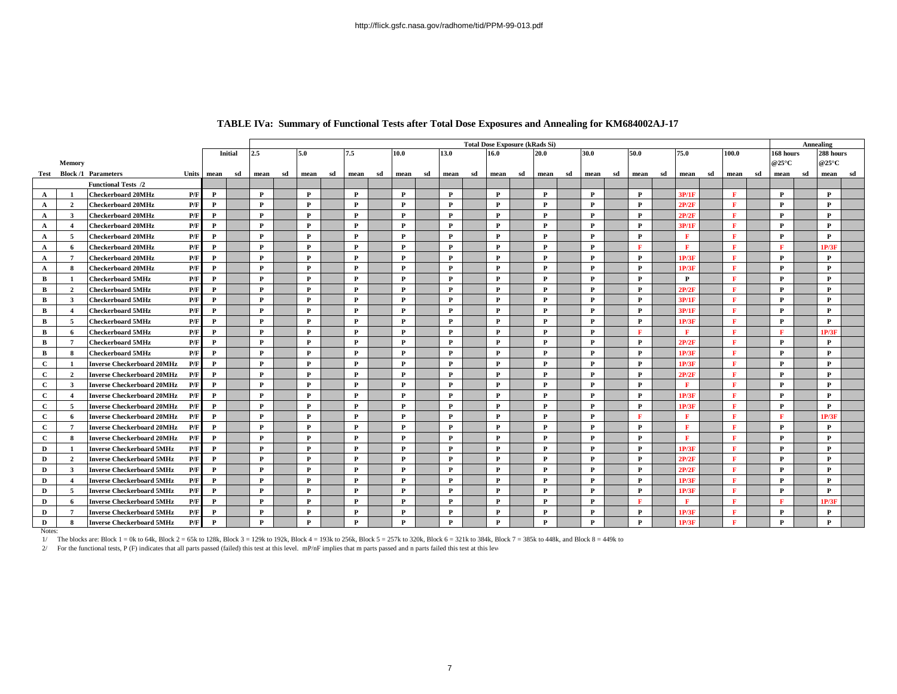|              |                         |                                          |              |         |              | <b>Total Dose Exposure (kRads Si)</b><br>75.0 |              |    |              |    |              |    |              |    |              |    |              |    |              |    | Annealing    |    |              |    |              |    |              |    |              |    |
|--------------|-------------------------|------------------------------------------|--------------|---------|--------------|-----------------------------------------------|--------------|----|--------------|----|--------------|----|--------------|----|--------------|----|--------------|----|--------------|----|--------------|----|--------------|----|--------------|----|--------------|----|--------------|----|
|              |                         |                                          |              | Initial | 2.5          |                                               | 5.0          |    | 7.5          |    | 10.0         |    | 13.0         |    | 16.0         |    | 20.0         |    | 30.0         |    | 50.0         |    |              |    | 100.0        |    | 168 hours    |    | 288 hours    |    |
|              | Memory                  |                                          |              |         |              |                                               |              |    |              |    |              |    |              |    |              |    |              |    |              |    |              |    |              |    |              |    | @25°C        |    | @25°C        |    |
|              |                         | Test Block /1 Parameters<br>Units        | sd<br>mean   |         | mean         | sd                                            | mean         | sd | mean         | sd | mean         | sd | mean         | sd | mean         | sd | mean         | sd | mean         | sd | mean         | sd | mean         | sd | mean         | sd | mean         | sd | mean         | sd |
|              |                         | <b>Functional Tests /2</b>               |              |         |              |                                               |              |    |              |    |              |    |              |    |              |    |              |    |              |    |              |    |              |    |              |    |              |    |              |    |
| $\mathbf{A}$ |                         | <b>Checkerboard 20MHz</b><br>P/F         | P            |         | $\mathbf{P}$ |                                               | $\mathbf{P}$ |    | P            |    | $\mathbf{P}$ |    | P            |    | $\mathbf{P}$ |    | P            |    | P            |    | P            |    | 3P/1F        |    | F            |    | $\mathbf{P}$ |    | P            |    |
| $\mathbf{A}$ | $\overline{2}$          | <b>Checkerboard 20MHz</b><br>P/F         | $\mathbf{P}$ |         | $\mathbf{P}$ |                                               | $\mathbf{P}$ |    | P            |    | $\mathbf{P}$ |    | P            |    | P            |    | P            |    | P            |    | P            |    | 2P/2F        |    | $\mathbf{F}$ |    | P            |    | $\mathbf{P}$ |    |
| $\mathbf{A}$ | -3                      | <b>Checkerboard 20MHz</b><br>P/F         | P            |         | $\mathbf{P}$ |                                               | $\mathbf{P}$ |    | P            |    | P            |    | P            |    | P            |    | P            |    | P            |    | P            |    | 2P/2F        |    | F            |    | P            |    | P            |    |
| $\mathbf{A}$ | $\overline{\mathbf{4}}$ | P/F<br><b>Checkerboard 20MHz</b>         | $\mathbf{P}$ |         | $\mathbf{P}$ |                                               | P            |    | P            |    | P            |    | P            |    | P            |    | P            |    | P            |    | P            |    | 3P/1F        |    | F            |    | P            |    | P            |    |
| $\mathbf{A}$ | -5                      | P/F<br><b>Checkerboard 20MHz</b>         | $\mathbf{P}$ |         | $\mathbf{P}$ |                                               | P            |    | $\mathbf{P}$ |    | $\mathbf{P}$ |    | P            |    | $\mathbf{P}$ |    | P            |    | $\mathbf{P}$ |    | P            |    | F            |    | $\mathbf{F}$ |    | $\mathbf{P}$ |    | $\mathbf{P}$ |    |
| $\mathbf{A}$ | -6                      | P/F<br><b>Checkerboard 20MHz</b>         | $\mathbf{P}$ |         | $\mathbf{P}$ |                                               | $\mathbf{P}$ |    | $\mathbf{P}$ |    | $\mathbf{P}$ |    | P            |    | P            |    | P            |    | P            |    | т            |    | F            |    | $\mathbf{F}$ |    | F            |    | 1P/3F        |    |
| $\mathbf{A}$ | $7\phantom{.0}$         | P/F<br><b>Checkerboard 20MHz</b>         | $\mathbf{P}$ |         | $\mathbf{P}$ |                                               | $\mathbf{P}$ |    | $\mathbf{P}$ |    | $\mathbf{P}$ |    | P            |    | $\mathbf{P}$ |    | P            |    | P            |    | P            |    | 1P/3F        |    | F            |    | P            |    | $\mathbf{P}$ |    |
| $\mathbf{A}$ | 8                       | <b>Checkerboard 20MHz</b><br>P/F         | $\mathbf{P}$ |         | $\mathbf{P}$ |                                               | $\mathbf{P}$ |    | $\mathbf{P}$ |    | $\mathbf{P}$ |    | P            |    | P            |    | P            |    | P            |    | P            |    | 1P/3F        |    | F            |    | P            |    | $\mathbf{P}$ |    |
| $\mathbf{B}$ | - 1                     | <b>Checkerboard 5MHz</b><br>P/F          | $\mathbf{P}$ |         | $\mathbf{P}$ |                                               | $\mathbf{P}$ |    | P            |    | $\mathbf{P}$ |    | P            |    | $\mathbf{P}$ |    | P            |    | P            |    | P            |    | $\mathbf{P}$ |    | F            |    | P            |    | P            |    |
| $\mathbf{B}$ | $\overline{2}$          | P/F<br>Checkerboard 5MHz                 | $\mathbf{P}$ |         | $\mathbf{P}$ |                                               | $\mathbf{P}$ |    | $\mathbf{P}$ |    | $\mathbf{P}$ |    | P            |    | P            |    | P            |    | P            |    | P            |    | 2P/2I        |    | $\mathbf{F}$ |    | P            |    | P            |    |
| $\mathbf{B}$ | 3                       | P/F<br>Checkerboard 5MHz                 | $\mathbf{P}$ |         | P            |                                               | $\mathbf{P}$ |    | P            |    | $\mathbf{P}$ |    | P            |    | $\mathbf{P}$ |    | P            |    | P            |    | P            |    | 3P/1F        |    | F            |    | P            |    | P            |    |
| $\mathbf{B}$ | $\overline{4}$          | P/F<br>Checkerboard 5MHz                 | $\mathbf{P}$ |         | $\mathbf{P}$ |                                               | $\mathbf{P}$ |    | P            |    | $\mathbf{P}$ |    | P            |    | $\mathbf{P}$ |    | P            |    | P            |    | $\mathbf{P}$ |    | 3P/1F        |    | F            |    | P            |    | $\mathbf{P}$ |    |
| B            | 5                       | P/F<br>Checkerboard 5MHz                 | $\mathbf{P}$ |         | $\mathbf{P}$ |                                               | $\mathbf{P}$ |    | $\mathbf{P}$ |    | $\mathbf{P}$ |    | P            |    | P            |    | P            |    | P            |    | $\mathbf{P}$ |    | 1P/3I        |    | F            |    | P            |    | $\mathbf{P}$ |    |
| B            | -6                      | P/F<br>Checkerboard 5MHz                 | P            |         | $\mathbf{P}$ |                                               | P            |    | P            |    | $\mathbf{P}$ |    | P            |    | P            |    | P            |    | P            |    | F            |    | F            |    | F            |    | $\mathbf{F}$ |    | 1P/3F        |    |
| $\mathbf{B}$ | $\mathbf{7}$            | P/F<br>Checkerboard 5MHz                 | $\mathbf{P}$ |         | $\mathbf{P}$ |                                               | $\mathbf{P}$ |    | $\mathbf{P}$ |    | $\mathbf{P}$ |    | $\mathbf{P}$ |    | P            |    | $\mathbf{P}$ |    | P            |    | $\mathbf{P}$ |    | 2P/2F        |    | $\mathbf{F}$ |    | P            |    | $\mathbf{P}$ |    |
| $\mathbf{B}$ | -8                      | P/F<br><b>Checkerboard 5MHz</b>          | $\mathbf{P}$ |         | $\mathbf{P}$ |                                               | $\mathbf{P}$ |    | $\mathbf{P}$ |    | $\mathbf{P}$ |    | $\mathbf{P}$ |    | P            |    | $\mathbf{P}$ |    | $\mathbf{P}$ |    | $\mathbf{P}$ |    | 1P/3F        |    | F            |    | P            |    | $\mathbf{P}$ |    |
| $\mathbf{c}$ |                         | P/F<br><b>Inverse Checkerboard 20MHz</b> | P            |         | $\mathbf{P}$ |                                               | P            |    | P            |    | $\mathbf{P}$ |    | $\mathbf{P}$ |    | P            |    | P            |    | P            |    | P            |    | 1P/3F        |    | $\mathbf{F}$ |    | P            |    | $\mathbf{P}$ |    |
| $\mathbf{c}$ | $\overline{2}$          | P/F<br><b>Inverse Checkerboard 20MHz</b> | $\mathbf{P}$ |         | $\mathbf{P}$ |                                               | P            |    | $\mathbf{P}$ |    | P            |    | $\mathbf{P}$ |    | P            |    | P            |    | P            |    | P            |    | 2P/2F        |    | $\mathbf F$  |    | P            |    | $\mathbf{P}$ |    |
| $\mathbf{C}$ | 3                       | P/F<br><b>Inverse Checkerboard 20MHz</b> | $\mathbf{P}$ |         | $\mathbf{P}$ |                                               | $\mathbf{P}$ |    | $\mathbf{P}$ |    | $\mathbf{P}$ |    | $\mathbf{P}$ |    | P            |    | P            |    | P            |    | $\mathbf{P}$ |    | $\mathbf{F}$ |    | $\mathbf{F}$ |    | P            |    | $\mathbf{P}$ |    |
| $\mathbf{C}$ | $\boldsymbol{4}$        | <b>Inverse Checkerboard 20MHz</b><br>P/F | $\mathbf{P}$ |         | $\mathbf{P}$ |                                               | $\mathbf{P}$ |    | $\mathbf{P}$ |    | $\mathbf{P}$ |    | $\mathbf{P}$ |    | P            |    | P            |    | P            |    | P            |    | 1P/3F        |    | $\mathbf{F}$ |    | P            |    | P            |    |
| $\mathbf{C}$ | -5                      | <b>Inverse Checkerboard 20MHz</b><br>P/F | $\mathbf{P}$ |         | $\mathbf{P}$ |                                               | $\mathbf{P}$ |    | $\mathbf{P}$ |    | $\mathbf{P}$ |    | P            |    | $\mathbf{P}$ |    | $\mathbf{P}$ |    | $\mathbf{P}$ |    | P            |    | 1P/3I        |    | $\mathbf{F}$ |    | $\mathbf{P}$ |    | P            |    |
| $\mathbf{C}$ | -6                      | <b>Inverse Checkerboard 20MHz</b><br>P/F | P            |         | $\mathbf{P}$ |                                               | $\mathbf{P}$ |    | P            |    | $\mathbf{P}$ |    | P            |    | P            |    | P            |    | P            |    | F            |    | $\mathbf{F}$ |    | F            |    | $\mathbf{F}$ |    | 1P/3F        |    |
| $\mathbf{C}$ | -7                      | <b>Inverse Checkerboard 20MHz</b><br>P/F | $\mathbf{P}$ |         | $\mathbf{P}$ |                                               | $\mathbf{P}$ |    | $\mathbf{P}$ |    | $\mathbf{P}$ |    | P            |    | P            |    | P            |    | P            |    | $\mathbf{P}$ |    | $\mathbf{F}$ |    | $\mathbf F$  |    | P            |    | $\mathbf{P}$ |    |
| $\mathbf{C}$ | 8                       | <b>Inverse Checkerboard 20MHz</b><br>P/F | P            |         | $\mathbf{P}$ |                                               | $\mathbf{P}$ |    | P            |    | $\mathbf{P}$ |    | $\mathbf{P}$ |    | $\mathbf{P}$ |    | P            |    | P            |    | P            |    | $\mathbf{F}$ |    | $\mathbf{F}$ |    | P            |    | P            |    |
| D            |                         | <b>Inverse Checkerboard 5MHz</b><br>P/F  | $\mathbf{P}$ |         | $\mathbf{P}$ |                                               | P            |    | P            |    | P            |    | P            |    | P            |    | P            |    | P            |    | P            |    | 1P/3F        |    | $\mathbf{F}$ |    | P            |    | $\mathbf{P}$ |    |
| D            | $\overline{2}$          | P/F<br><b>Inverse Checkerboard 5MHz</b>  | P            |         | $\mathbf{P}$ |                                               | P            |    | P            |    | P            |    | P            |    | P            |    | P            |    | P            |    | P            |    | 2P/2F        |    | F            |    | P            |    | P            |    |
| D            | -3                      | P/F<br><b>Inverse Checkerboard 5MHz</b>  | $\mathbf{P}$ |         | $\mathbf{P}$ |                                               | P            |    | P            |    | P            |    | P            |    | P            |    | P            |    | P            |    | P            |    | 2P/2F        |    | F            |    | $\mathbf{P}$ |    | P            |    |
| D            | $\boldsymbol{\Lambda}$  | <b>Inverse Checkerboard 5MHz</b><br>P/F  | $\mathbf{P}$ |         | $\mathbf{P}$ |                                               | P            |    | P            |    | $\mathbf{P}$ |    | P            |    | P            |    | P            |    | P            |    | P            |    | 1P/3I        |    | $\mathbf{F}$ |    | P            |    | $\mathbf{P}$ |    |
| D            | 5                       | <b>Inverse Checkerboard 5MHz</b><br>P/F  | $\mathbf{P}$ |         | $\mathbf{P}$ |                                               | P            |    | $\mathbf{P}$ |    | P            |    | $\mathbf{P}$ |    | P            |    | $\mathbf{P}$ |    | P            |    | P            |    | 1P/3F        |    | F            |    | P            |    | $\mathbf{P}$ |    |
| D            | -6                      | P/F<br><b>Inverse Checkerboard 5MHz</b>  | P            |         | $\mathbf{P}$ |                                               | P            |    | P            |    | P            |    | P            |    | P            |    | P            |    | P            |    | F            |    | F            |    | F            |    | $\mathbf{F}$ |    | 1P/3F        |    |
| D            | $7\phantom{.0}$         | P/F<br><b>Inverse Checkerboard 5MHz</b>  | P            |         | $\mathbf{P}$ |                                               | P            |    | P            |    | P            |    | P            |    | P            |    | P            |    | P            |    | P            |    | IP/3I        |    | F.           |    | P            |    | P            |    |
| D            | 8                       | <b>Inverse Checkerboard 5MHz</b><br>P/F  | $\mathbf P$  |         | P            |                                               | P            |    | P            |    | $\mathbf{P}$ |    | P            |    | $\mathbf{P}$ |    | P            |    | P            |    | P            |    | IP/3F        |    | $\mathbf{F}$ |    | $\mathbf{P}$ |    | $\mathbf P$  |    |

### **TABLE IVa: Summary of Functional Tests after Total Dose Exposures and Annealing for KM684002AJ-17**

Notes:

1/ The blocks are: Block 1 = 0k to 64k, Block 2 = 65k to 128k, Block 3 = 129k to 192k, Block 4 = 193k to 256k, Block 5 = 257k to 320k, Block 6 = 321k to 384k, Block 7 = 385k to 448k, and Block 8 = 449k to

2/ For the functional tests, P (F) indicates that all parts passed (failed) this test at this level. mP/nF implies that m parts passed and n parts failed this test at this level.